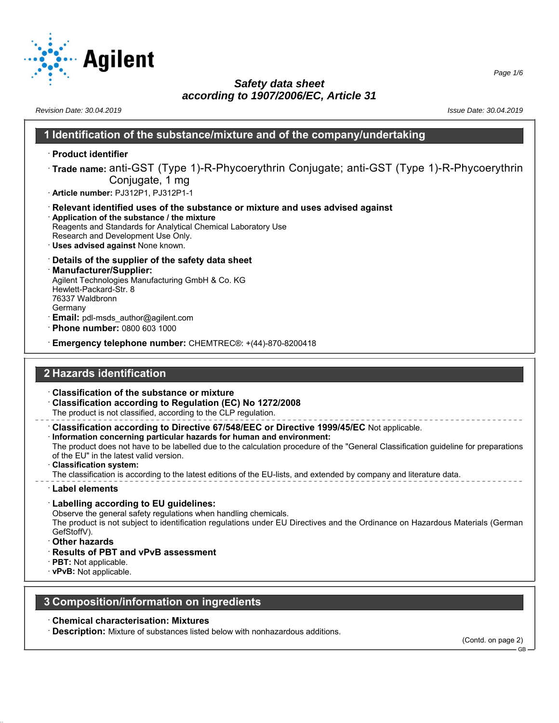

*Revision Date: 30.04.2019 Issue Date: 30.04.2019*

#### **1 Identification of the substance/mixture and of the company/undertaking**

- · **Product identifier**
- · **Trade name:** anti-GST (Type 1)-R-Phycoerythrin Conjugate; anti-GST (Type 1)-R-Phycoerythrin Conjugate, 1 mg
- · **Article number:** PJ312P1, PJ312P1-1
- · **Relevant identified uses of the substance or mixture and uses advised against** · **Application of the substance / the mixture**
- Reagents and Standards for Analytical Chemical Laboratory Use Research and Development Use Only.
- · **Uses advised against** None known.
- · **Details of the supplier of the safety data sheet**
- · **Manufacturer/Supplier:** Agilent Technologies Manufacturing GmbH & Co. KG Hewlett-Packard-Str. 8 76337 Waldbronn Germany
- **Email:** pdl-msds author@agilent.com
- · **Phone number:** 0800 603 1000
- · **Emergency telephone number:** CHEMTREC®: +(44)-870-8200418

# **2 Hazards identification**

- · **Classification of the substance or mixture**
- · **Classification according to Regulation (EC) No 1272/2008** The product is not classified, according to the CLP regulation.
- · **Classification according to Directive 67/548/EEC or Directive 1999/45/EC** Not applicable.
- · **Information concerning particular hazards for human and environment:** The product does not have to be labelled due to the calculation procedure of the "General Classification guideline for preparations
- of the EU" in the latest valid version. · **Classification system:**
- The classification is according to the latest editions of the EU-lists, and extended by company and literature data.
- · **Label elements**
- · **Labelling according to EU guidelines:**
- Observe the general safety regulations when handling chemicals.
- The product is not subject to identification regulations under EU Directives and the Ordinance on Hazardous Materials (German GefStoffV).
- · **Other hazards**
- · **Results of PBT and vPvB assessment**
- · **PBT:** Not applicable.
- · **vPvB:** Not applicable.

#### **3 Composition/information on ingredients**

- · **Chemical characterisation: Mixtures**
- **Description:** Mixture of substances listed below with nonhazardous additions.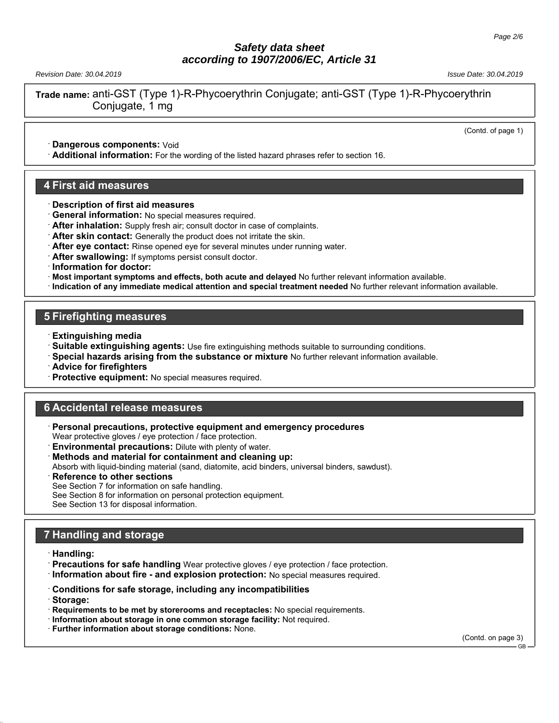*Revision Date: 30.04.2019 Issue Date: 30.04.2019*

**Trade name:** anti-GST (Type 1)-R-Phycoerythrin Conjugate; anti-GST (Type 1)-R-Phycoerythrin Conjugate, 1 mg

(Contd. of page 1)

· **Dangerous components:** Void

· **Additional information:** For the wording of the listed hazard phrases refer to section 16.

#### **4 First aid measures**

- · **Description of first aid measures**
- · **General information:** No special measures required.
- · **After inhalation:** Supply fresh air; consult doctor in case of complaints.
- · **After skin contact:** Generally the product does not irritate the skin.
- · **After eye contact:** Rinse opened eye for several minutes under running water.
- · **After swallowing:** If symptoms persist consult doctor.

· **Information for doctor:**

- · **Most important symptoms and effects, both acute and delayed** No further relevant information available.
- · **Indication of any immediate medical attention and special treatment needed** No further relevant information available.

#### **5 Firefighting measures**

- · **Extinguishing media**
- · **Suitable extinguishing agents:** Use fire extinguishing methods suitable to surrounding conditions.
- · **Special hazards arising from the substance or mixture** No further relevant information available.
- · **Advice for firefighters**
- Protective equipment: No special measures required.

#### **6 Accidental release measures**

- · **Personal precautions, protective equipment and emergency procedures** Wear protective gloves / eye protection / face protection.
- **Environmental precautions:** Dilute with plenty of water.
- · **Methods and material for containment and cleaning up:**
- Absorb with liquid-binding material (sand, diatomite, acid binders, universal binders, sawdust).
- **Reference to other sections**
- See Section 7 for information on safe handling.

See Section 8 for information on personal protection equipment.

See Section 13 for disposal information.

# **7 Handling and storage**

- · **Handling:**
- · **Precautions for safe handling** Wear protective gloves / eye protection / face protection.
- · **Information about fire and explosion protection:** No special measures required.
- · **Conditions for safe storage, including any incompatibilities**
- · **Storage:**
- · **Requirements to be met by storerooms and receptacles:** No special requirements.
- · **Information about storage in one common storage facility:** Not required.
- · **Further information about storage conditions:** None.

(Contd. on page 3)

GB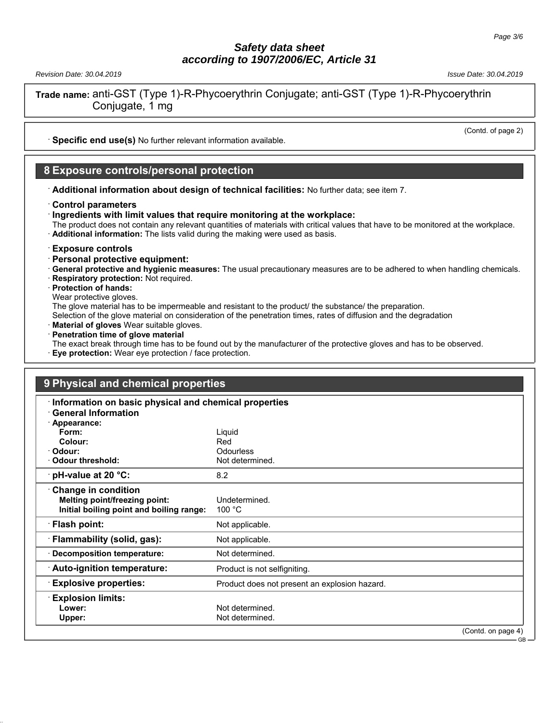*Revision Date: 30.04.2019 Issue Date: 30.04.2019*

**Trade name:** anti-GST (Type 1)-R-Phycoerythrin Conjugate; anti-GST (Type 1)-R-Phycoerythrin Conjugate, 1 mg

(Contd. of page 2)

· **Specific end use(s)** No further relevant information available.

#### **8 Exposure controls/personal protection**

· **Additional information about design of technical facilities:** No further data; see item 7.

#### · **Control parameters**

· **Ingredients with limit values that require monitoring at the workplace:**

The product does not contain any relevant quantities of materials with critical values that have to be monitored at the workplace. · **Additional information:** The lists valid during the making were used as basis.

#### · **Exposure controls**

- · **Personal protective equipment:**
- · **General protective and hygienic measures:** The usual precautionary measures are to be adhered to when handling chemicals.
- · **Respiratory protection:** Not required.
- · **Protection of hands:**
- Wear protective gloves.

The glove material has to be impermeable and resistant to the product/ the substance/ the preparation.

Selection of the glove material on consideration of the penetration times, rates of diffusion and the degradation

- · **Material of gloves** Wear suitable gloves.
- · **Penetration time of glove material** The exact break through time has to be found out by the manufacturer of the protective gloves and has to be observed.
- **Eye protection:** Wear eye protection / face protection.

| 9 Physical and chemical properties                    |                                               |                                  |
|-------------------------------------------------------|-----------------------------------------------|----------------------------------|
| Information on basic physical and chemical properties |                                               |                                  |
| <b>General Information</b>                            |                                               |                                  |
| · Appearance:                                         |                                               |                                  |
| Form:                                                 | Liquid                                        |                                  |
| Colour:                                               | Red                                           |                                  |
| · Odour:                                              | <b>Odourless</b>                              |                                  |
| Odour threshold:                                      | Not determined.                               |                                  |
| $\cdot$ pH-value at 20 °C:                            | 8.2                                           |                                  |
| <b>Change in condition</b>                            |                                               |                                  |
| Melting point/freezing point:                         | Undetermined.                                 |                                  |
| Initial boiling point and boiling range:              | 100 $\degree$ C                               |                                  |
| · Flash point:                                        | Not applicable.                               |                                  |
| · Flammability (solid, gas):                          | Not applicable.                               |                                  |
| Decomposition temperature:                            | Not determined.                               |                                  |
| Auto-ignition temperature:                            | Product is not selfigniting.                  |                                  |
| <b>Explosive properties:</b>                          | Product does not present an explosion hazard. |                                  |
| <b>Explosion limits:</b>                              |                                               |                                  |
| Lower:                                                | Not determined.                               |                                  |
| Upper:                                                | Not determined.                               |                                  |
|                                                       |                                               | (Contd. on page 4)<br>$-$ GR $-$ |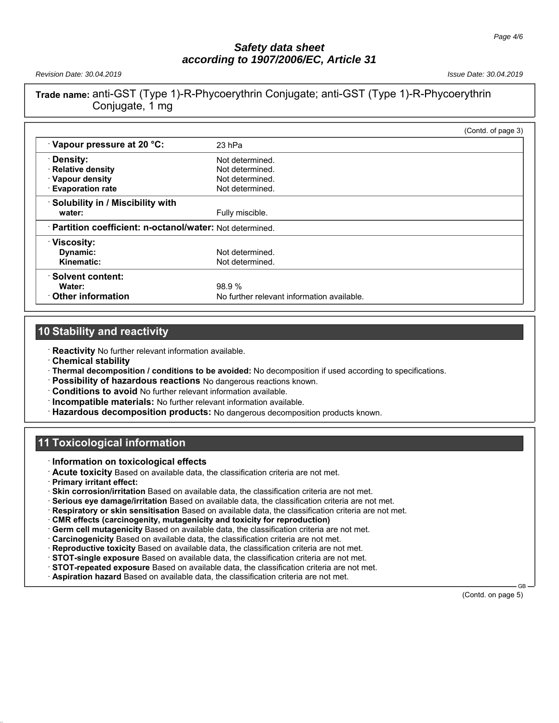*Revision Date: 30.04.2019 Issue Date: 30.04.2019*

# **Trade name:** anti-GST (Type 1)-R-Phycoerythrin Conjugate; anti-GST (Type 1)-R-Phycoerythrin Conjugate, 1 mg

|                                                           |                                            | (Contd. of page 3) |
|-----------------------------------------------------------|--------------------------------------------|--------------------|
| Vapour pressure at 20 °C:                                 | 23 hPa                                     |                    |
| Density:                                                  | Not determined.                            |                    |
| · Relative density                                        | Not determined.                            |                    |
| · Vapour density                                          | Not determined.                            |                    |
| <b>Evaporation rate</b>                                   | Not determined.                            |                    |
| Solubility in / Miscibility with                          |                                            |                    |
| water:                                                    | Fully miscible.                            |                    |
| · Partition coefficient: n-octanol/water: Not determined. |                                            |                    |
| $\cdot$ Viscosity:                                        |                                            |                    |
| Dynamic:                                                  | Not determined.                            |                    |
| Kinematic:                                                | Not determined.                            |                    |
| · Solvent content:                                        |                                            |                    |
| Water:                                                    | 98.9%                                      |                    |
| Other information                                         | No further relevant information available. |                    |

# **10 Stability and reactivity**

· **Reactivity** No further relevant information available.

- · **Chemical stability**
- · **Thermal decomposition / conditions to be avoided:** No decomposition if used according to specifications.
- · **Possibility of hazardous reactions** No dangerous reactions known.
- · **Conditions to avoid** No further relevant information available.
- · **Incompatible materials:** No further relevant information available.
- · **Hazardous decomposition products:** No dangerous decomposition products known.

# **11 Toxicological information**

- · **Information on toxicological effects**
- · **Acute toxicity** Based on available data, the classification criteria are not met.
- · **Primary irritant effect:**
- · **Skin corrosion/irritation** Based on available data, the classification criteria are not met.
- · **Serious eye damage/irritation** Based on available data, the classification criteria are not met.
- · **Respiratory or skin sensitisation** Based on available data, the classification criteria are not met.
- · **CMR effects (carcinogenity, mutagenicity and toxicity for reproduction)**
- · **Germ cell mutagenicity** Based on available data, the classification criteria are not met.
- · **Carcinogenicity** Based on available data, the classification criteria are not met.
- · **Reproductive toxicity** Based on available data, the classification criteria are not met.
- · **STOT-single exposure** Based on available data, the classification criteria are not met.
- · **STOT-repeated exposure** Based on available data, the classification criteria are not met.
- Aspiration hazard Based on available data, the classification criteria are not met.

 GB (Contd. on page 5)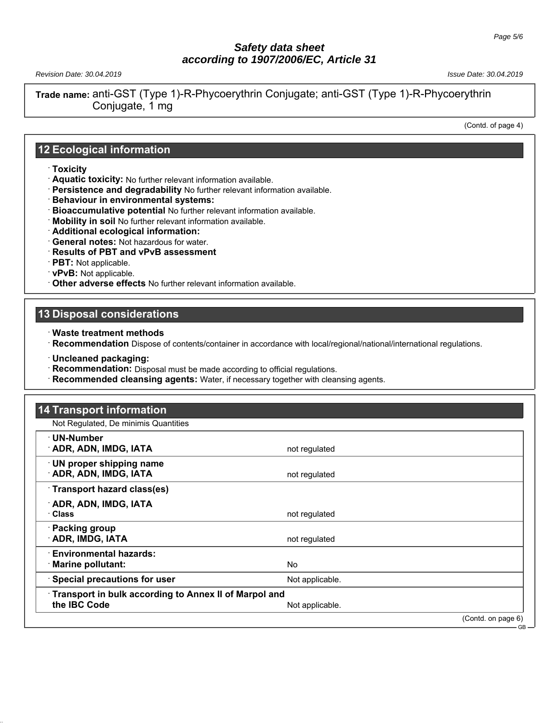*Revision Date: 30.04.2019 Issue Date: 30.04.2019*

**Trade name:** anti-GST (Type 1)-R-Phycoerythrin Conjugate; anti-GST (Type 1)-R-Phycoerythrin Conjugate, 1 mg

(Contd. of page 4)

#### **12 Ecological information**

- · **Toxicity**
- · **Aquatic toxicity:** No further relevant information available.
- · **Persistence and degradability** No further relevant information available.
- · **Behaviour in environmental systems:**
- · **Bioaccumulative potential** No further relevant information available.
- · **Mobility in soil** No further relevant information available.
- · **Additional ecological information:**
- · **General notes:** Not hazardous for water.
- · **Results of PBT and vPvB assessment**
- · **PBT:** Not applicable.
- · **vPvB:** Not applicable.
- · **Other adverse effects** No further relevant information available.

#### **13 Disposal considerations**

- · **Waste treatment methods**
- · **Recommendation** Dispose of contents/container in accordance with local/regional/national/international regulations.
- · **Uncleaned packaging:**
- · **Recommendation:** Disposal must be made according to official regulations.
- · **Recommended cleansing agents:** Water, if necessary together with cleansing agents.

| <b>14 Transport information</b>                                              |                 |                    |
|------------------------------------------------------------------------------|-----------------|--------------------|
| Not Regulated, De minimis Quantities                                         |                 |                    |
| · UN-Number<br><b>ADR, ADN, IMDG, IATA</b>                                   | not regulated   |                    |
| · UN proper shipping name<br><b>ADR, ADN, IMDG, IATA</b>                     | not regulated   |                    |
| Transport hazard class(es)                                                   |                 |                    |
| ADR, ADN, IMDG, IATA<br><b>Class</b>                                         | not regulated   |                    |
| · Packing group<br><b>ADR, IMDG, IATA</b>                                    | not regulated   |                    |
| <b>Environmental hazards:</b><br><b>Marine pollutant:</b>                    | No.             |                    |
| Special precautions for user                                                 | Not applicable. |                    |
| <b>Transport in bulk according to Annex II of Marpol and</b><br>the IBC Code | Not applicable. |                    |
|                                                                              |                 | (Contd. on page 6) |